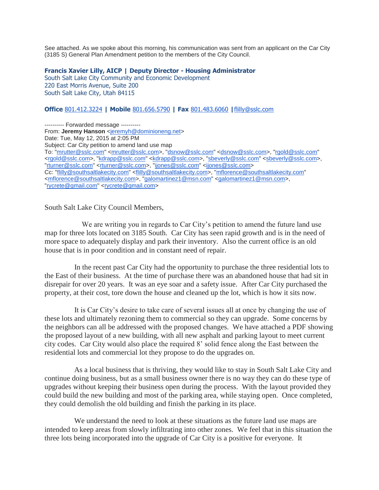See attached. As we spoke about this morning, his communication was sent from an applicant on the Car City (3185 S) General Plan Amendment petition to the members of the City Council.

## **Francis Xavier Lilly, AICP | Deputy Director - Housing Administrator**

South Salt Lake City Community and Economic Development 220 East Morris Avenue, Suite 200 South Salt Lake City, Utah 84115

## **Office** [801.412.3224](tel:801.412.3224) **| Mobile** [801.656.5790](tel:801.656.5790) **| Fax** [801.483.6060](tel:801.483.6060) **|**[flilly@sslc.com](mailto:flilly@sslc.com)

---------- Forwarded message ---------- From: **Jeremy Hanson** [<jeremyh@dominioneng.net>](mailto:jeremyh@dominioneng.net) Date: Tue, May 12, 2015 at 2:05 PM Subject: Car City petition to amend land use map To: ["mrutter@sslc.com"](mailto:mrutter@sslc.com) [<mrutter@sslc.com>](mailto:mrutter@sslc.com), ["dsnow@sslc.com"](mailto:dsnow@sslc.com) [<dsnow@sslc.com>](mailto:dsnow@sslc.com), ["rgold@sslc.com"](mailto:rgold@sslc.com) [<rgold@sslc.com>](mailto:rgold@sslc.com), ["kdrapp@sslc.com"](mailto:kdrapp@sslc.com) [<kdrapp@sslc.com>](mailto:kdrapp@sslc.com), ["sbeverly@sslc.com"](mailto:sbeverly@sslc.com) [<sbeverly@sslc.com>](mailto:sbeverly@sslc.com), ["rturner@sslc.com"](mailto:rturner@sslc.com) [<rturner@sslc.com>](mailto:rturner@sslc.com), ["ijones@sslc.com"](mailto:ijones@sslc.com) [<ijones@sslc.com>](mailto:ijones@sslc.com) Cc: "fillly@southsaltlakecity.com" [<flilly@southsaltlakecity.com>](mailto:flilly@southsaltlakecity.com), ["mflorence@southsaltlakecity.com"](mailto:mflorence@southsaltlakecity.com) [<mflorence@southsaltlakecity.com>](mailto:mflorence@southsaltlakecity.com), ["galomartinez1@msn.com"](mailto:galomartinez1@msn.com) [<galomartinez1@msn.com>](mailto:galomartinez1@msn.com), ["rycrete@gmail.com"](mailto:rycrete@gmail.com) [<rycrete@gmail.com>](mailto:rycrete@gmail.com)

South Salt Lake City Council Members,

 We are writing you in regards to Car City's petition to amend the future land use map for three lots located on 3185 South. Car City has seen rapid growth and is in the need of more space to adequately display and park their inventory. Also the current office is an old house that is in poor condition and in constant need of repair.

 In the recent past Car City had the opportunity to purchase the three residential lots to the East of their business. At the time of purchase there was an abandoned house that had sit in disrepair for over 20 years. It was an eye soar and a safety issue. After Car City purchased the property, at their cost, tore down the house and cleaned up the lot, which is how it sits now.

 It is Car City's desire to take care of several issues all at once by changing the use of these lots and ultimately rezoning them to commercial so they can upgrade. Some concerns by the neighbors can all be addressed with the proposed changes. We have attached a PDF showing the proposed layout of a new building, with all new asphalt and parking layout to meet current city codes. Car City would also place the required 8' solid fence along the East between the residential lots and commercial lot they propose to do the upgrades on.

 As a local business that is thriving, they would like to stay in South Salt Lake City and continue doing business, but as a small business owner there is no way they can do these type of upgrades without keeping their business open during the process. With the layout provided they could build the new building and most of the parking area, while staying open. Once completed, they could demolish the old building and finish the parking in its place.

We understand the need to look at these situations as the future land use maps are intended to keep areas from slowly infiltrating into other zones. We feel that in this situation the three lots being incorporated into the upgrade of Car City is a positive for everyone. It